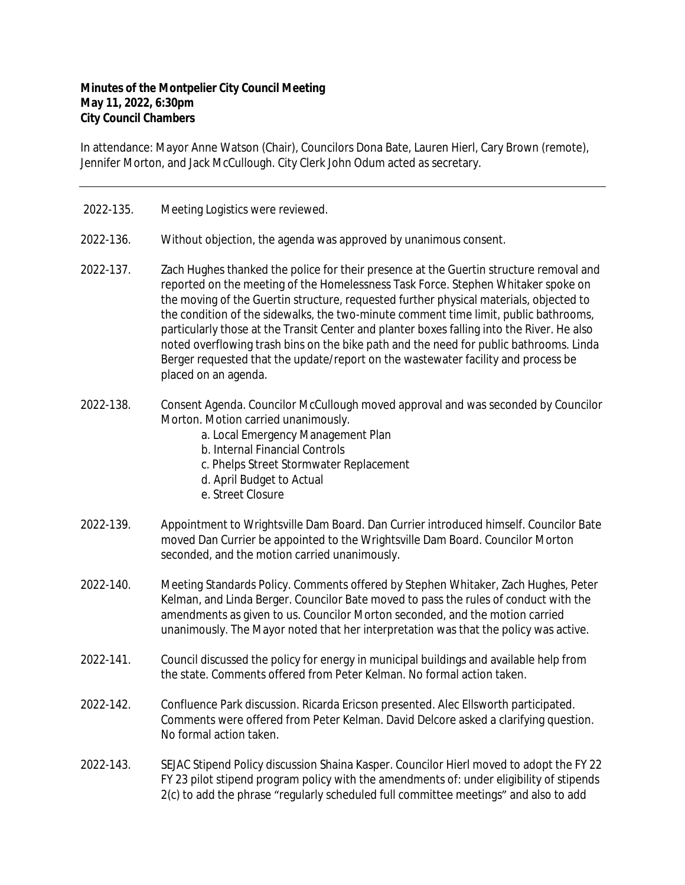## **Minutes of the Montpelier City Council Meeting May 11, 2022, 6:30pm City Council Chambers**

In attendance: Mayor Anne Watson (Chair), Councilors Dona Bate, Lauren Hierl, Cary Brown (remote), Jennifer Morton, and Jack McCullough. City Clerk John Odum acted as secretary.

- 2022-135. Meeting Logistics were reviewed.
- 2022-136. Without objection, the agenda was approved by unanimous consent.
- 2022-137. Zach Hughes thanked the police for their presence at the Guertin structure removal and reported on the meeting of the Homelessness Task Force. Stephen Whitaker spoke on the moving of the Guertin structure, requested further physical materials, objected to the condition of the sidewalks, the two-minute comment time limit, public bathrooms, particularly those at the Transit Center and planter boxes falling into the River. He also noted overflowing trash bins on the bike path and the need for public bathrooms. Linda Berger requested that the update/report on the wastewater facility and process be placed on an agenda.
- 2022-138. Consent Agenda. Councilor McCullough moved approval and was seconded by Councilor Morton. Motion carried unanimously.
	- a. Local Emergency Management Plan
	- b. Internal Financial Controls
	- c. Phelps Street Stormwater Replacement
	- d. April Budget to Actual
	- e. Street Closure
- 2022-139. Appointment to Wrightsville Dam Board. Dan Currier introduced himself. Councilor Bate moved Dan Currier be appointed to the Wrightsville Dam Board. Councilor Morton seconded, and the motion carried unanimously.
- 2022-140. Meeting Standards Policy. Comments offered by Stephen Whitaker, Zach Hughes, Peter Kelman, and Linda Berger. Councilor Bate moved to pass the rules of conduct with the amendments as given to us. Councilor Morton seconded, and the motion carried unanimously. The Mayor noted that her interpretation was that the policy was active.
- 2022-141. Council discussed the policy for energy in municipal buildings and available help from the state. Comments offered from Peter Kelman. No formal action taken.
- 2022-142. Confluence Park discussion. Ricarda Ericson presented. Alec Ellsworth participated. Comments were offered from Peter Kelman. David Delcore asked a clarifying question. No formal action taken.
- 2022-143. SEJAC Stipend Policy discussion Shaina Kasper. Councilor Hierl moved to adopt the FY 22 FY 23 pilot stipend program policy with the amendments of: under eligibility of stipends 2(c) to add the phrase "regularly scheduled full committee meetings" and also to add